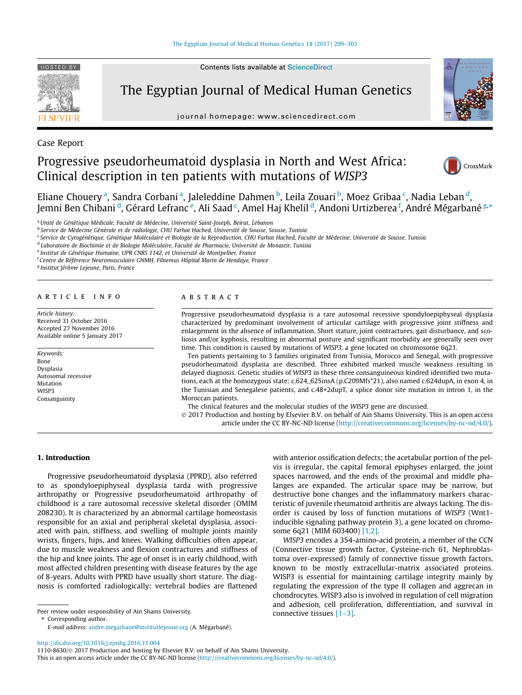

Contents lists available at [ScienceDirect](http://www.sciencedirect.com/science/journal/11108630)

# The Egyptian Journal of Medical Human Genetics

journal homepage: [www.sciencedirect.com](http://www.sciencedirect.com)



Case Report

# Progressive pseudorheumatoid dysplasia in North and West Africa: Clinical description in ten patients with mutations of WISP3



Eliane Chouery <sup>a</sup>, Sandra Corbani <sup>a</sup>, Jaleleddine Dahmen <sup>b</sup>, Leila Zouari <sup>b</sup>, Moez Gribaa <sup>c</sup>, Nadia Leban <sup>d</sup>, Jemni Ben Chibani <sup>d</sup>, Gérard Lefranc <sup>e</sup>, Ali Saad <sup>c</sup>, Amel Haj Khelil <sup>d</sup>, Andoni Urtizberea <sup>f</sup>, André Mégarbané <sup>g,</sup>\*

<sup>a</sup> Unité de Génétique Médicale, Faculté de Médecine, Université Saint-Joseph, Beirut, Lebanon

<sup>b</sup> Service de Médecine Générale et de radiologie, CHU Farhat Hached, Université de Sousse, Sousse, Tunisia

<sup>c</sup> Service de Cytogénétique, Génétique Moléculaire et Biologie de la Reproduction, CHU Farhat Hached, Faculté de Médecine, Université de Sousse, Tunisia

<sup>d</sup> Laboratoire de Biochimie et de Biologie Moléculaire, Faculté de Pharmacie, Université de Monastir, Tunisia

<sup>e</sup> Institut de Génétique Humaine, UPR CNRS 1142, et Université de Montpellier, France

<sup>f</sup> Centre de Référence Neuromusculaire GNMH, Filnemus Hôpital Marin de Hendaye, France

<sup>g</sup> Institut Jérôme Lejeune, Paris, France

# article info

Article history: Received 31 October 2016 Accepted 27 November 2016 Available online 5 January 2017

Keywords: Bone Dysplasia Autosomal recessive Mutation WISP3 Consanguinity

# A B S T R A C T

Progressive pseudorheumatoid dysplasia is a rare autosomal recessive spondyloepiphyseal dysplasia characterized by predominant involvement of articular cartilage with progressive joint stiffness and enlargement in the absence of inflammation. Short stature, joint contractures, gait disturbance, and scoliosis and/or kyphosis, resulting in abnormal posture and significant morbidity are generally seen over time. This condition is caused by mutations of WISP3, a gene located on chromosome 6q21.

Ten patients pertaining to 3 families originated from Tunisia, Morocco and Senegal, with progressive pseudorheumatoid dysplasia are described. Three exhibited marked muscle weakness resulting in delayed diagnosis. Genetic studies of WISP3 in these three consanguineous kindred identified two mutations, each at the homozygous state: c.624\_625insA (p.C209Mfs\*21), also named c.624dupA, in exon 4, in the Tunisian and Senegalese patients, and c.48+2dupT, a splice donor site mutation in intron 1, in the Moroccan patients.

The clinical features and the molecular studies of the WISP3 gene are discussed.

 2017 Production and hosting by Elsevier B.V. on behalf of Ain Shams University. This is an open access article under the CC BY-NC-ND license (<http://creativecommons.org/licenses/by-nc-nd/4.0/>).

#### 1. Introduction

Progressive pseudorheumatoid dysplasia (PPRD), also referred to as spondyloepiphyseal dysplasia tarda with progressive arthropathy or Progressive pseudorheumatoid arthropathy of childhood is a rare autosomal recessive skeletal disorder (OMIM 208230). It is characterized by an abnormal cartilage homeostasis responsible for an axial and peripheral skeletal dysplasia, associated with pain, stiffness, and swelling of multiple joints mainly wrists, fingers, hips, and knees. Walking difficulties often appear, due to muscle weakness and flexion contractures and stiffness of the hip and knee joints. The age of onset is in early childhood, with most affected children presenting with disease features by the age of 8-years. Adults with PPRD have usually short stature. The diagnosis is comforted radiologically: vertebral bodies are flattened

Peer review under responsibility of Ain Shams University. ⇑ Corresponding author.

E-mail address: [andre.megarbane@institutlejeune.org](mailto:andre.megarbane@institutlejeune.org) (A. Mégarbané).

with anterior ossification defects; the acetabular portion of the pelvis is irregular, the capital femoral epiphyses enlarged, the joint spaces narrowed, and the ends of the proximal and middle phalanges are expanded. The articular space may be narrow, but destructive bone changes and the inflammatory markers characteristic of juvenile rheumatoid arthritis are always lacking. The disorder is caused by loss of function mutations of WISP3 (Wnt1 inducible signaling pathway protein 3), a gene located on chromosome 6q21 (MIM 603400) [\[1,2\].](#page-3-0)

WISP3 encodes a 354-amino-acid protein, a member of the CCN (Connective tissue growth factor, Cysteine-rich 61, Nephroblastoma over-expressed) family of connective tissue growth factors, known to be mostly extracellular-matrix associated proteins. WISP3 is essential for maintaining cartilage integrity mainly by regulating the expression of the type II collagen and aggrecan in chondrocytes. WISP3 also is involved in regulation of cell migration and adhesion, cell proliferation, differentiation, and survival in connective tissues [\[1–3\].](#page-3-0)

<http://dx.doi.org/10.1016/j.ejmhg.2016.11.004>

1110-8630/ 2017 Production and hosting by Elsevier B.V. on behalf of Ain Shams University.

This is an open access article under the CC BY-NC-ND license ([http://creativecommons.org/licenses/by-nc-nd/4.0/\)](http://creativecommons.org/licenses/by-nc-nd/4.0/).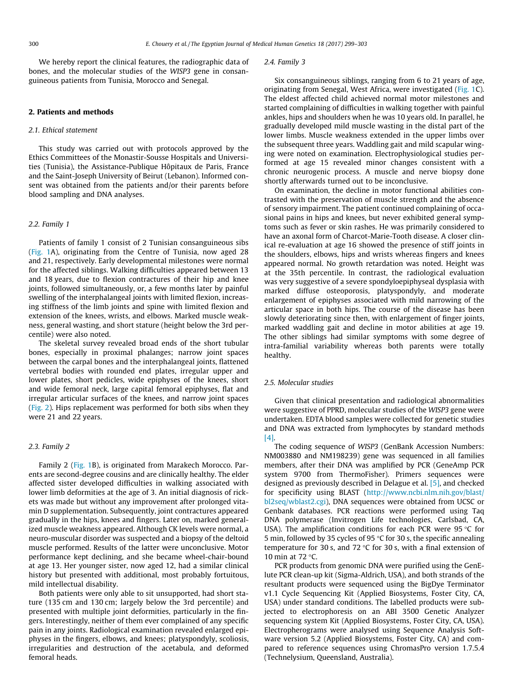We hereby report the clinical features, the radiographic data of bones, and the molecular studies of the WISP3 gene in consanguineous patients from Tunisia, Morocco and Senegal.

# 2. Patients and methods

#### 2.1. Ethical statement

This study was carried out with protocols approved by the Ethics Committees of the Monastir-Sousse Hospitals and Universities (Tunisia), the Assistance-Publique Hôpitaux de Paris, France and the Saint-Joseph University of Beirut (Lebanon). Informed consent was obtained from the patients and/or their parents before blood sampling and DNA analyses.

## 2.2. Family 1

Patients of family 1 consist of 2 Tunisian consanguineous sibs ([Fig. 1A](#page-2-0)), originating from the Centre of Tunisia, now aged 28 and 21, respectively. Early developmental milestones were normal for the affected siblings. Walking difficulties appeared between 13 and 18 years, due to flexion contractures of their hip and knee joints, followed simultaneously, or, a few months later by painful swelling of the interphalangeal joints with limited flexion, increasing stiffness of the limb joints and spine with limited flexion and extension of the knees, wrists, and elbows. Marked muscle weakness, general wasting, and short stature (height below the 3rd percentile) were also noted.

The skeletal survey revealed broad ends of the short tubular bones, especially in proximal phalanges; narrow joint spaces between the carpal bones and the interphalangeal joints, flattened vertebral bodies with rounded end plates, irregular upper and lower plates, short pedicles, wide epiphyses of the knees, short and wide femoral neck, large capital femoral epiphyses, flat and irregular articular surfaces of the knees, and narrow joint spaces ([Fig. 2](#page-3-0)). Hips replacement was performed for both sibs when they were 21 and 22 years.

# 2.3. Family 2

Family 2 [\(Fig. 1B](#page-2-0)), is originated from Marakech Morocco. Parents are second-degree cousins and are clinically healthy. The elder affected sister developed difficulties in walking associated with lower limb deformities at the age of 3. An initial diagnosis of rickets was made but without any improvement after prolonged vitamin D supplementation. Subsequently, joint contractures appeared gradually in the hips, knees and fingers. Later on, marked generalized muscle weakness appeared. Although CK levels were normal, a neuro-muscular disorder was suspected and a biopsy of the deltoid muscle performed. Results of the latter were unconclusive. Motor performance kept declining, and she became wheel-chair-bound at age 13. Her younger sister, now aged 12, had a similar clinical history but presented with additional, most probably fortuitous, mild intellectual disability.

Both patients were only able to sit unsupported, had short stature (135 cm and 130 cm; largely below the 3rd percentile) and presented with multiple joint deformities, particularly in the fingers. Interestingly, neither of them ever complained of any specific pain in any joints. Radiological examination revealed enlarged epiphyses in the fingers, elbows, and knees; platyspondyly, scoliosis, irregularities and destruction of the acetabula, and deformed femoral heads.

#### 2.4. Family 3

Six consanguineous siblings, ranging from 6 to 21 years of age, originating from Senegal, West Africa, were investigated [\(Fig. 1C](#page-2-0)). The eldest affected child achieved normal motor milestones and started complaining of difficulties in walking together with painful ankles, hips and shoulders when he was 10 years old. In parallel, he gradually developed mild muscle wasting in the distal part of the lower limbs. Muscle weakness extended in the upper limbs over the subsequent three years. Waddling gait and mild scapular winging were noted on examination. Electrophysiological studies performed at age 15 revealed minor changes consistent with a chronic neurogenic process. A muscle and nerve biopsy done shortly afterwards turned out to be inconclusive.

On examination, the decline in motor functional abilities contrasted with the preservation of muscle strength and the absence of sensory impairment. The patient continued complaining of occasional pains in hips and knees, but never exhibited general symptoms such as fever or skin rashes. He was primarily considered to have an axonal form of Charcot-Marie-Tooth disease. A closer clinical re-evaluation at age 16 showed the presence of stiff joints in the shoulders, elbows, hips and wrists whereas fingers and knees appeared normal. No growth retardation was noted. Height was at the 35th percentile. In contrast, the radiological evaluation was very suggestive of a severe spondyloepiphyseal dysplasia with marked diffuse osteoporosis, platyspondyly, and moderate enlargement of epiphyses associated with mild narrowing of the articular space in both hips. The course of the disease has been slowly deteriorating since then, with enlargement of finger joints, marked waddling gait and decline in motor abilities at age 19. The other siblings had similar symptoms with some degree of intra-familial variability whereas both parents were totally healthy.

# 2.5. Molecular studies

Given that clinical presentation and radiological abnormalities were suggestive of PPRD, molecular studies of the WISP3 gene were undertaken. EDTA blood samples were collected for genetic studies and DNA was extracted from lymphocytes by standard methods [\[4\]](#page-3-0).

The coding sequence of WISP3 (GenBank Accession Numbers: NM003880 and NM198239) gene was sequenced in all families members, after their DNA was amplified by PCR (GeneAmp PCR system 9700 from ThermoFisher). Primers sequences were designed as previously described in Delague et al. [\[5\],](#page-3-0) and checked for specificity using BLAST ([http://www.ncbi.nlm.nih.gov/blast/](http://www.ncbi.nlm.nih.gov/blast/bl2seq/wblast2.cgi) [bl2seq/wblast2.cgi\)](http://www.ncbi.nlm.nih.gov/blast/bl2seq/wblast2.cgi), DNA sequences were obtained from UCSC or Genbank databases. PCR reactions were performed using Taq DNA polymerase (Invitrogen Life technologies, Carlsbad, CA, USA). The amplification conditions for each PCR were 95  $\degree$ C for 5 min, followed by 35 cycles of 95  $\degree$ C for 30 s, the specific annealing temperature for 30 s, and 72  $\degree$ C for 30 s, with a final extension of 10 min at  $72 °C$ .

PCR products from genomic DNA were purified using the GenElute PCR clean-up kit (Sigma-Aldrich, USA), and both strands of the resultant products were sequenced using the BigDye Terminator v1.1 Cycle Sequencing Kit (Applied Biosystems, Foster City, CA, USA) under standard conditions. The labelled products were subjected to electrophoresis on an ABI 3500 Genetic Analyzer sequencing system Kit (Applied Biosystems, Foster City, CA, USA). Electropherograms were analysed using Sequence Analysis Software version 5.2 (Applied Biosystems, Foster City, CA) and compared to reference sequences using ChromasPro version 1.7.5.4 (Technelysium, Queensland, Australia).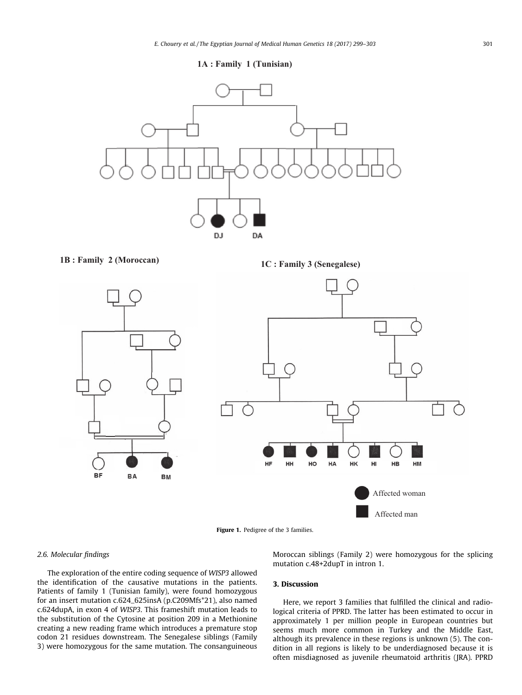**1A : Family 1 (Tunisian)**

<span id="page-2-0"></span>

**1C : Family 3 (Senegalese) 1B : Family 2 (Moroccan)**



Figure 1. Pedigree of the 3 families.

# 2.6. Molecular findings

The exploration of the entire coding sequence of WISP3 allowed the identification of the causative mutations in the patients. Patients of family 1 (Tunisian family), were found homozygous for an insert mutation c.624\_625insA (p.C209Mfs\*21), also named c.624dupA, in exon 4 of WISP3. This frameshift mutation leads to the substitution of the Cytosine at position 209 in a Methionine creating a new reading frame which introduces a premature stop codon 21 residues downstream. The Senegalese siblings (Family 3) were homozygous for the same mutation. The consanguineous

Moroccan siblings (Family 2) were homozygous for the splicing mutation c.48+2dupT in intron 1.

# 3. Discussion

Here, we report 3 families that fulfilled the clinical and radiological criteria of PPRD. The latter has been estimated to occur in approximately 1 per million people in European countries but seems much more common in Turkey and the Middle East, although its prevalence in these regions is unknown (5). The condition in all regions is likely to be underdiagnosed because it is often misdiagnosed as juvenile rheumatoid arthritis (JRA). PPRD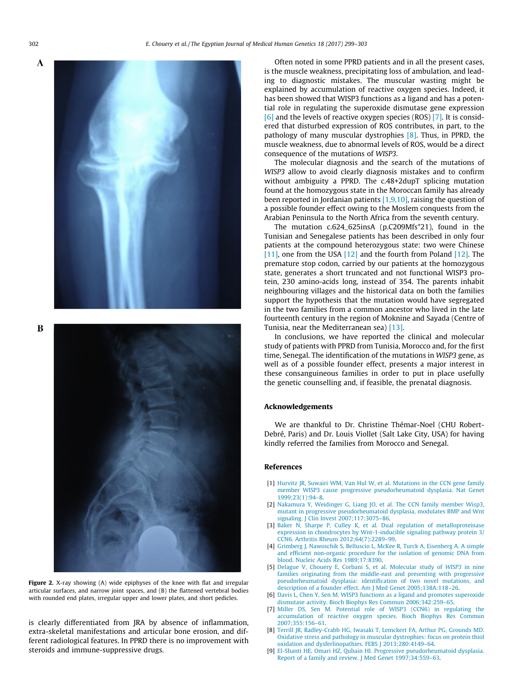<span id="page-3-0"></span> $\mathbf A$ 

B



Figure 2. X-ray showing (A) wide epiphyses of the knee with flat and irregular articular surfaces, and narrow joint spaces, and (B) the flattened vertebral bodies with rounded end plates, irregular upper and lower plates, and short pedicles.

is clearly differentiated from JRA by absence of inflammation, extra-skeletal manifestations and articular bone erosion, and different radiological features. In PPRD there is no improvement with steroids and immune-suppressive drugs.

Often noted in some PPRD patients and in all the present cases, is the muscle weakness, precipitating loss of ambulation, and leading to diagnostic mistakes. The muscular wasting might be explained by accumulation of reactive oxygen species. Indeed, it has been showed that WISP3 functions as a ligand and has a potential role in regulating the superoxide dismutase gene expression [6] and the levels of reactive oxygen species (ROS) [7]. It is considered that disturbed expression of ROS contributes, in part, to the pathology of many muscular dystrophies [8]. Thus, in PPRD, the muscle weakness, due to abnormal levels of ROS, would be a direct consequence of the mutations of WISP3.

The molecular diagnosis and the search of the mutations of WISP3 allow to avoid clearly diagnosis mistakes and to confirm without ambiguity a PPRD. The c.48+2dupT splicing mutation found at the homozygous state in the Moroccan family has already been reported in Jordanian patients  $[1,9,10]$ , raising the question of a possible founder effect owing to the Moslem conquests from the Arabian Peninsula to the North Africa from the seventh century.

The mutation c.624\_625insA (p.C209Mfs\*21), found in the Tunisian and Senegalese patients has been described in only four patients at the compound heterozygous state: two were Chinese [\[11\]](#page-4-0), one from the USA [\[12\]](#page-4-0) and the fourth from Poland [12]. The premature stop codon, carried by our patients at the homozygous state, generates a short truncated and not functional WISP3 protein, 230 amino-acids long, instead of 354. The parents inhabit neighbouring villages and the historical data on both the families support the hypothesis that the mutation would have segregated in the two families from a common ancestor who lived in the late fourteenth century in the region of Moknine and Sayada (Centre of Tunisia, near the Mediterranean sea) [\[13\].](#page-4-0)

In conclusions, we have reported the clinical and molecular study of patients with PPRD from Tunisia, Morocco and, for the first time, Senegal. The identification of the mutations in WISP3 gene, as well as of a possible founder effect, presents a major interest in these consanguineous families in order to put in place usefully the genetic counselling and, if feasible, the prenatal diagnosis.

### Acknowledgements

We are thankful to Dr. Christine Thémar-Noel (CHU Robert-Debré, Paris) and Dr. Louis Viollet (Salt Lake City, USA) for having kindly referred the families from Morocco and Senegal.

## References

- [1] [Hurvitz JR, Suwairi WM, Van Hul W, et al. Mutations in the CCN gene family](http://refhub.elsevier.com/S1110-8630(16)30079-9/h0005) [member WISP3 cause progressive pseudorheumatoid dysplasia. Nat Genet](http://refhub.elsevier.com/S1110-8630(16)30079-9/h0005) [1999;23\(1\):94–8](http://refhub.elsevier.com/S1110-8630(16)30079-9/h0005).
- [2] [Nakamura Y, Weidinger G, Liang JO, et al. The CCN family member Wisp3,](http://refhub.elsevier.com/S1110-8630(16)30079-9/h0010) [mutant in progressive pseudorheumatoid dysplasia, modulates BMP and Wnt](http://refhub.elsevier.com/S1110-8630(16)30079-9/h0010) [signaling. J Clin Invest 2007;117:3075–86](http://refhub.elsevier.com/S1110-8630(16)30079-9/h0010).
- [3] [Baker N, Sharpe P, Culley K, et al. Dual regulation of metalloproteinase](http://refhub.elsevier.com/S1110-8630(16)30079-9/h0015) [expression in chondrocytes by Wnt-1-inducible signaling pathway protein 3/](http://refhub.elsevier.com/S1110-8630(16)30079-9/h0015) [CCN6. Arthritis Rheum 2012;64\(7\):2289–99.](http://refhub.elsevier.com/S1110-8630(16)30079-9/h0015)
- [4] [Grimberg J, Nawoschik S, Belluscio L, McKee R, Turck A, Eisenberg A. A simple](http://refhub.elsevier.com/S1110-8630(16)30079-9/h0020) [and efficient non-organic procedure for the isolation of genomic DNA from](http://refhub.elsevier.com/S1110-8630(16)30079-9/h0020) [blood. Nucleic Acids Res 1989;17:8390.](http://refhub.elsevier.com/S1110-8630(16)30079-9/h0020)
- [5] [Delague V, Chouery E, Corbani S, et al. Molecular study of](http://refhub.elsevier.com/S1110-8630(16)30079-9/h0025) WISP3 in nine [families originating from the middle-east and presenting with progressive](http://refhub.elsevier.com/S1110-8630(16)30079-9/h0025) [pseudorheumatoid dysplasia: identification of two novel mutations, and](http://refhub.elsevier.com/S1110-8630(16)30079-9/h0025) [description of a founder effect. Am J Med Genet 2005;138A:118–26](http://refhub.elsevier.com/S1110-8630(16)30079-9/h0025).
- [6] [Davis L, Chen Y, Sen M. WISP3 functions as a ligand and promotes superoxide](http://refhub.elsevier.com/S1110-8630(16)30079-9/h0030) [dismutase activity. Bioch Biophys Res Commun 2006;342:259–65](http://refhub.elsevier.com/S1110-8630(16)30079-9/h0030).
- [7] [Miller DS, Sen M. Potential role of WISP3 \(CCN6\) in regulating the](http://refhub.elsevier.com/S1110-8630(16)30079-9/h0035) [accumulation of reactive oxygen species. Bioch Biophys Res Commun](http://refhub.elsevier.com/S1110-8630(16)30079-9/h0035) [2007;355:156–61.](http://refhub.elsevier.com/S1110-8630(16)30079-9/h0035)
- [8] [Terrill JR, Radley-Crabb HG, Iwasaki T, Lemckert FA, Arthur PG, Grounds MD.](http://refhub.elsevier.com/S1110-8630(16)30079-9/h0040) [Oxidative stress and pathology in muscular dystrophies: focus on protein thiol](http://refhub.elsevier.com/S1110-8630(16)30079-9/h0040) [oxidation and dysferlinopathies. FEBS J 2013;280:4149–64](http://refhub.elsevier.com/S1110-8630(16)30079-9/h0040).
- [9] [El-Shanti HE, Omari HZ, Qubain HI. Progressive pseudorheumatoid dysplasia.](http://refhub.elsevier.com/S1110-8630(16)30079-9/h0045) [Report of a family and review. J Med Genet 1997;34:559–63.](http://refhub.elsevier.com/S1110-8630(16)30079-9/h0045)